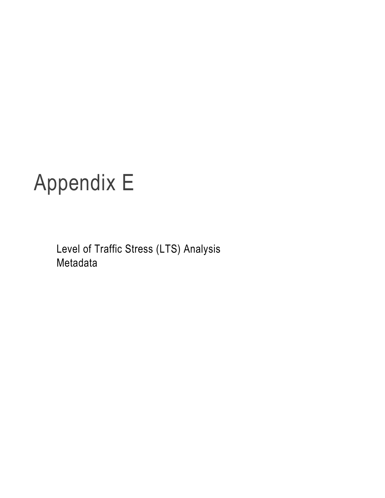# Appendix E

Level of Traffic Stress (LTS) Analysis Metadata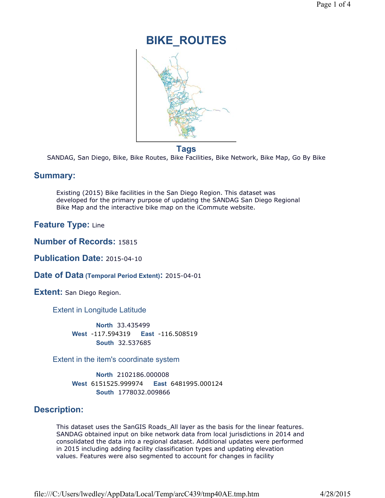# **BIKE\_ROUTES**

**Tags**

SANDAG, San Diego, Bike, Bike Routes, Bike Facilities, Bike Network, Bike Map, Go By Bike

# **Summary:**

Existing (2015) Bike facilities in the San Diego Region. This dataset was developed for the primary purpose of updating the SANDAG San Diego Regional Bike Map and the interactive bike map on the iCommute website.

**Feature Type:** Line

**Number of Records:** 15815

**Publication Date:** 2015-04-10

**Date of Data (Temporal Period Extent):** 2015-04-01

**Extent:** San Diego Region.

Extent in Longitude Latitude

**North** 33.435499 **South** 32.537685 **West** -117.594319 **East** -116.508519

Extent in the item's coordinate system

**North** 2102186.000008 **South** 1778032.009866 **West** 6151525.999974 **East** 6481995.000124

# **Description:**

This dataset uses the SanGIS Roads\_All layer as the basis for the linear features. SANDAG obtained input on bike network data from local jurisdictions in 2014 and consolidated the data into a regional dataset. Additional updates were performed in 2015 including adding facility classification types and updating elevation values. Features were also segmented to account for changes in facility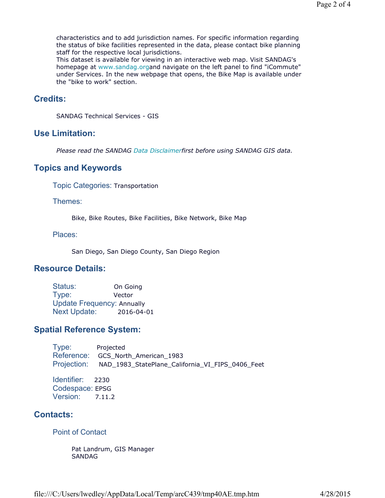characteristics and to add jurisdiction names. For specific information regarding the status of bike facilities represented in the data, please contact bike planning staff for the respective local jurisdictions.

This dataset is available for viewing in an interactive web map. Visit SANDAG's homepage at www.sandag.organd navigate on the left panel to find "iCommute" under Services. In the new webpage that opens, the Bike Map is available under the "bike to work" section.

# **Credits:**

SANDAG Technical Services - GIS

#### **Use Limitation:**

*Please read the SANDAG Data Disclaimerfirst before using SANDAG GIS data.*

# **Topics and Keywords**

Topic Categories: Transportation

Themes:

Bike, Bike Routes, Bike Facilities, Bike Network, Bike Map

Places:

San Diego, San Diego County, San Diego Region

# **Resource Details:**

| Status:                           | On Going   |
|-----------------------------------|------------|
| Type:                             | Vector     |
| <b>Update Frequency: Annually</b> |            |
| <b>Next Update:</b>               | 2016-04-01 |

# **Spatial Reference System:**

Type: Projected Reference: GCS\_North\_American\_1983 Projection: NAD\_1983\_StatePlane\_California\_VI\_FIPS\_0406\_Feet

Identifier: 2230 Codespace: EPSG Version: 7.11.2

# **Contacts:**

Point of Contact

Pat Landrum, GIS Manager SANDAG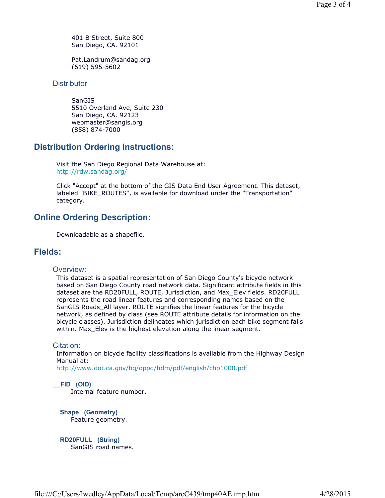401 B Street, Suite 800 San Diego, CA. 92101

Pat.Landrum@sandag.org (619) 595-5602

#### **Distributor**

**SanGIS** 5510 Overland Ave, Suite 230 San Diego, CA. 92123 webmaster@sangis.org (858) 874-7000

# **Distribution Ordering Instructions:**

Visit the San Diego Regional Data Warehouse at: http://rdw.sandag.org/

Click "Accept" at the bottom of the GIS Data End User Agreement. This dataset, labeled "BIKE\_ROUTES", is available for download under the "Transportation" category.

# **Online Ordering Description:**

Downloadable as a shapefile.

# **Fields:**

#### Overview:

This dataset is a spatial representation of San Diego County's bicycle network based on San Diego County road network data. Significant attribute fields in this dataset are the RD20FULL, ROUTE, Jurisdiction, and Max\_Elev fields. RD20FULL represents the road linear features and corresponding names based on the SanGIS Roads\_All layer. ROUTE signifies the linear features for the bicycle network, as defined by class (see ROUTE attribute details for information on the bicycle classes). Jurisdiction delineates which jurisdiction each bike segment falls within. Max\_Elev is the highest elevation along the linear segment.

#### Citation:

Information on bicycle facility classifications is available from the Highway Design Manual at:

http://www.dot.ca.gov/hq/oppd/hdm/pdf/english/chp1000.pdf

\_\_**FID (OID)** 

Internal feature number.

**Shape (Geometry)**  Feature geometry.

**RD20FULL (String)**  SanGIS road names.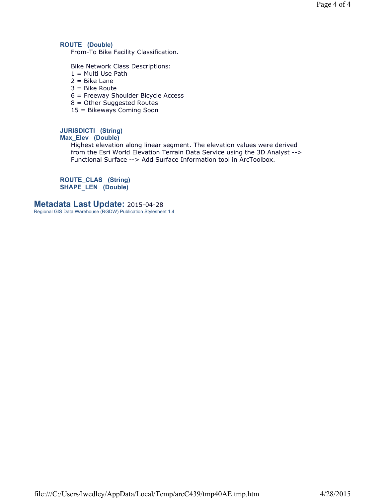#### **ROUTE (Double)**

From-To Bike Facility Classification.

Bike Network Class Descriptions:

- $1 =$  Multi Use Path
- $2 = Bike$  Lane
- 3 = Bike Route
- 6 = Freeway Shoulder Bicycle Access
- 8 = Other Suggested Routes
- 15 = Bikeways Coming Soon

# **JURISDICTI (String)**

# **Max\_Elev (Double)**

Highest elevation along linear segment. The elevation values were derived from the Esri World Elevation Terrain Data Service using the 3D Analyst --> Functional Surface --> Add Surface Information tool in ArcToolbox.

**ROUTE\_CLAS (String) SHAPE\_LEN (Double)** 

#### **Metadata Last Update:** 2015-04-28

Regional GIS Data Warehouse (RGDW) Publication Stylesheet 1.4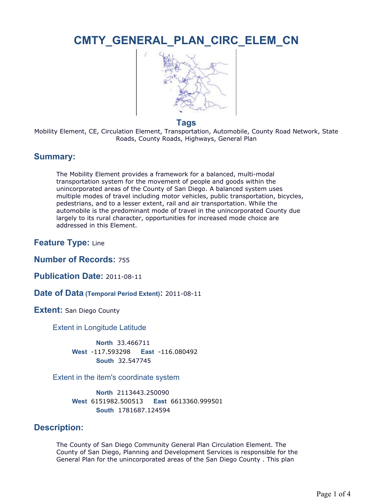# **CMTY\_GENERAL\_PLAN\_CIRC\_ELEM\_CN**



#### **Tags**

Mobility Element, CE, Circulation Element, Transportation, Automobile, County Road Network, State Roads, County Roads, Highways, General Plan

# **Summary:**

The Mobility Element provides a framework for a balanced, multi-modal transportation system for the movement of people and goods within the unincorporated areas of the County of San Diego. A balanced system uses multiple modes of travel including motor vehicles, public transportation, bicycles, pedestrians, and to a lesser extent, rail and air transportation. While the automobile is the predominant mode of travel in the unincorporated County due largely to its rural character, opportunities for increased mode choice are addressed in this Element.

**Feature Type:** Line

**Number of Records:** 755

**Publication Date:** 2011-08-11

**Date of Data (Temporal Period Extent):** 2011-08-11

**Extent: San Diego County** 

Extent in Longitude Latitude

**North** 33.466711 **South** 32.547745 **West** -117.593298 **East** -116.080492

#### Extent in the item's coordinate system

**North** 2113443.250090 **South** 1781687.124594 **West** 6151982.500513 **East** 6613360.999501

# **Description:**

The County of San Diego Community General Plan Circulation Element. The County of San Diego, Planning and Development Services is responsible for the General Plan for the unincorporated areas of the San Diego County . This plan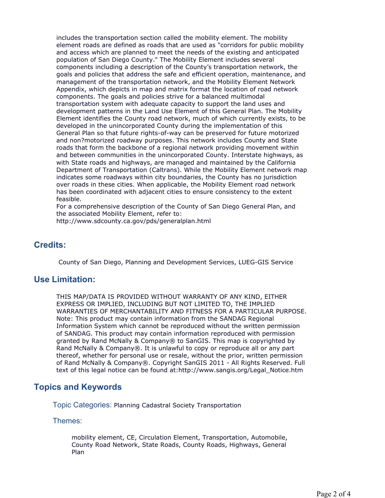includes the transportation section called the mobility element. The mobility element roads are defined as roads that are used as "corridors for public mobility and access which are planned to meet the needs of the existing and anticipated population of San Diego County." The Mobility Element includes several components including a description of the County's transportation network, the goals and policies that address the safe and efficient operation, maintenance, and management of the transportation network, and the Mobility Element Network Appendix, which depicts in map and matrix format the location of road network components. The goals and policies strive for a balanced multimodal transportation system with adequate capacity to support the land uses and development patterns in the Land Use Element of this General Plan. The Mobility Element identifies the County road network, much of which currently exists, to be developed in the unincorporated County during the implementation of this General Plan so that future rights-of-way can be preserved for future motorized and non?motorized roadway purposes. This network includes County and State roads that form the backbone of a regional network providing movement within and between communities in the unincorporated County. Interstate highways, as with State roads and highways, are managed and maintained by the California Department of Transportation (Caltrans). While the Mobility Element network map indicates some roadways within city boundaries, the County has no jurisdiction over roads in these cities. When applicable, the Mobility Element road network has been coordinated with adjacent cities to ensure consistency to the extent feasible.

For a comprehensive description of the County of San Diego General Plan, and the associated Mobility Element, refer to:

http://www.sdcounty.ca.gov/pds/generalplan.html

# **Credits:**

County of San Diego, Planning and Development Services, LUEG-GIS Service

# **Use Limitation:**

THIS MAP/DATA IS PROVIDED WITHOUT WARRANTY OF ANY KIND, EITHER EXPRESS OR IMPLIED, INCLUDING BUT NOT LIMITED TO, THE IMPLIED WARRANTIES OF MERCHANTABILITY AND FITNESS FOR A PARTICULAR PURPOSE. Note: This product may contain information from the SANDAG Regional Information System which cannot be reproduced without the written permission of SANDAG. This product may contain information reproduced with permission granted by Rand McNally & Company® to SanGIS. This map is copyrighted by Rand McNally & Company®. It is unlawful to copy or reproduce all or any part thereof, whether for personal use or resale, without the prior, written permission of Rand McNally & Company®. Copyright SanGIS 2011 - All Rights Reserved. Full text of this legal notice can be found at:http://www.sangis.org/Legal\_Notice.htm

# **Topics and Keywords**

Topic Categories: Planning Cadastral Society Transportation

Themes:

mobility element, CE, Circulation Element, Transportation, Automobile, County Road Network, State Roads, County Roads, Highways, General Plan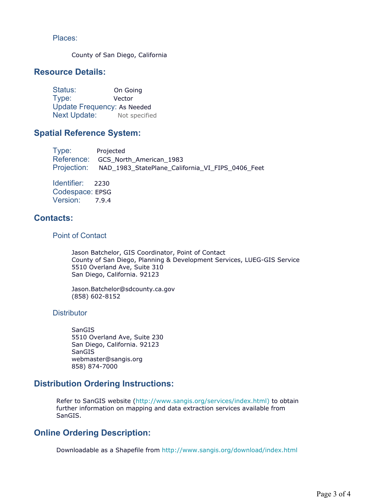Places:

County of San Diego, California

# **Resource Details:**

Status: On Going Type: Vector Update Frequency: As Needed Next Update: Not specified

# **Spatial Reference System:**

Type: Projected Reference: GCS\_North\_American\_1983 Projection: NAD\_1983\_StatePlane\_California\_VI\_FIPS\_0406\_Feet

Identifier: 2230 Codespace: EPSG Version: 7.9.4

# **Contacts:**

#### Point of Contact

Jason Batchelor, GIS Coordinator, Point of Contact County of San Diego, Planning & Development Services, LUEG-GIS Service 5510 Overland Ave, Suite 310 San Diego, California. 92123

Jason.Batchelor@sdcounty.ca.gov (858) 602-8152

**Distributor** 

**SanGIS** 5510 Overland Ave, Suite 230 San Diego, California. 92123 SanGIS webmaster@sangis.org 858) 874-7000

# **Distribution Ordering Instructions:**

Refer to SanGIS website (http://www.sangis.org/services/index.html) to obtain further information on mapping and data extraction services available from SanGIS.

# **Online Ordering Description:**

Downloadable as a Shapefile from http://www.sangis.org/download/index.html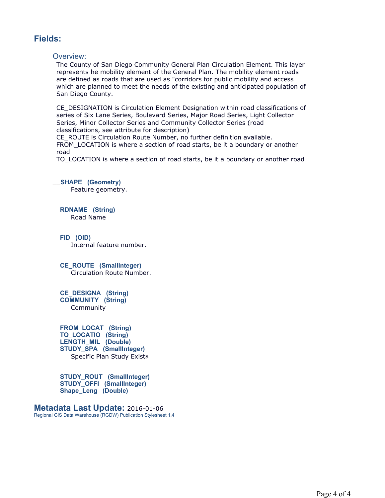# **Fields:**

#### Overview:

The County of San Diego Community General Plan Circulation Element. This layer represents he mobility element of the General Plan. The mobility element roads are defined as roads that are used as "corridors for public mobility and access which are planned to meet the needs of the existing and anticipated population of San Diego County.

CE\_DESIGNATION is Circulation Element Designation within road classifications of series of Six Lane Series, Boulevard Series, Major Road Series, Light Collector Series, Minor Collector Series and Community Collector Series (road classifications, see attribute for description)

CE\_ROUTE is Circulation Route Number, no further definition available. FROM\_LOCATION is where a section of road starts, be it a boundary or another road

TO\_LOCATION is where a section of road starts, be it a boundary or another road

# \_\_**SHAPE (Geometry)**

Feature geometry.

**RDNAME (String)**  Road Name

**FID (OID)**  Internal feature number.

**CE\_ROUTE (SmallInteger)**  Circulation Route Number.

#### **CE\_DESIGNA (String) COMMUNITY (String)**  Community

**FROM\_LOCAT (String) TO\_LOCATIO (String) LENGTH\_MIL (Double) STUDY\_SPA (SmallInteger)**  Specific Plan Study Exists

**STUDY\_ROUT (SmallInteger) STUDY\_OFFI (SmallInteger) Shape\_Leng (Double)** 

**Metadata Last Update:** 2016-01-06 Regional GIS Data Warehouse (RGDW) Publication Stylesheet 1.4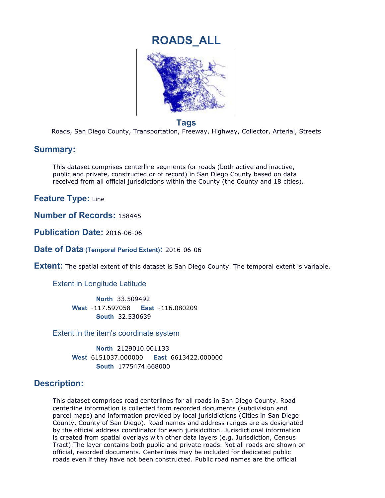

# **Tags**

Roads, San Diego County, Transportation, Freeway, Highway, Collector, Arterial, Streets

# **Summary:**

This dataset comprises centerline segments for roads (both active and inactive, public and private, constructed or of record) in San Diego County based on data received from all official jurisdictions within the County (the County and 18 cities).

**Feature Type:** Line

**Number of Records:** 158445

**Publication Date:** 2016-06-06

**Date of Data (Temporal Period Extent):** 2016-06-06

**Extent:** The spatial extent of this dataset is San Diego County. The temporal extent is variable.

Extent in Longitude Latitude

**North** 33.509492 **South** 32.530639 **West** -117.597058 **East** -116.080209

Extent in the item's coordinate system

**North** 2129010.001133 **South** 1775474.668000 **West** 6151037.000000 **East** 6613422.000000

# **Description:**

This dataset comprises road centerlines for all roads in San Diego County. Road centerline information is collected from recorded documents (subdivision and parcel maps) and information provided by local jurisidictions (Cities in San Diego County, County of San Diego). Road names and address ranges are as designated by the official address coordinator for each jurisidcition. Jurisdictional information is created from spatial overlays with other data layers (e.g. Jurisdiction, Census Tract).The layer contains both public and private roads. Not all roads are shown on official, recorded documents. Centerlines may be included for dedicated public roads even if they have not been constructed. Public road names are the official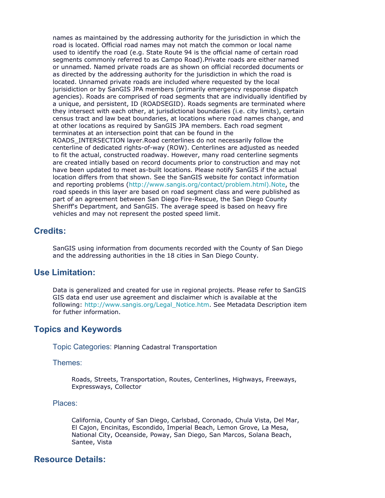names as maintained by the addressing authority for the jurisdiction in which the road is located. Official road names may not match the common or local name used to identify the road (e.g. State Route 94 is the official name of certain road segments commonly referred to as Campo Road).Private roads are either named or unnamed. Named private roads are as shown on official recorded documents or as directed by the addressing authority for the jurisdiction in which the road is located. Unnamed private roads are included where requested by the local jurisidiction or by SanGIS JPA members (primarily emergency response dispatch agencies). Roads are comprised of road segments that are individually identified by a unique, and persistent, ID (ROADSEGID). Roads segments are terminated where they intersect with each other, at jurisdictional boundaries (i.e. city limits), certain census tract and law beat boundaries, at locations where road names change, and at other locations as required by SanGIS JPA members. Each road segment terminates at an intersection point that can be found in the ROADS\_INTERSECTION layer.Road centerlines do not necessarily follow the centerline of dedicated rights-of-way (ROW). Centerlines are adjusted as needed to fit the actual, constructed roadway. However, many road centerline segments are created intially based on record documents prior to construction and may not have been updated to meet as-built locations. Please notify SanGIS if the actual location differs from that shown. See the SanGIS website for contact information and reporting problems (http://www.sangis.org/contact/problem.html).Note, the road speeds in this layer are based on road segment class and were published as part of an agreement between San Diego Fire-Rescue, the San Diego County Sheriff's Department, and SanGIS. The average speed is based on heavy fire vehicles and may not represent the posted speed limit.

# **Credits:**

SanGIS using information from documents recorded with the County of San Diego and the addressing authorities in the 18 cities in San Diego County.

# **Use Limitation:**

Data is generalized and created for use in regional projects. Please refer to SanGIS GIS data end user use agreement and disclaimer which is available at the following: http://www.sangis.org/Legal\_Notice.htm. See Metadata Description item for futher information.

# **Topics and Keywords**

Topic Categories: Planning Cadastral Transportation

#### Themes:

Roads, Streets, Transportation, Routes, Centerlines, Highways, Freeways, Expressways, Collector

#### Places:

California, County of San Diego, Carlsbad, Coronado, Chula Vista, Del Mar, El Cajon, Encinitas, Escondido, Imperial Beach, Lemon Grove, La Mesa, National City, Oceanside, Poway, San Diego, San Marcos, Solana Beach, Santee, Vista

# **Resource Details:**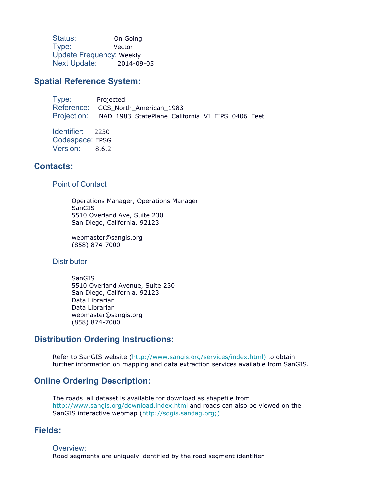Status: On Going Type: Vector Update Frequency: Weekly Next Update: 2014-09-05

# **Spatial Reference System:**

Type: Projected Reference: GCS\_North\_American\_1983 Projection: NAD\_1983\_StatePlane\_California\_VI\_FIPS\_0406\_Feet

Identifier: 2230 Codespace: EPSG Version: 8.6.2

# **Contacts:**

Point of Contact

Operations Manager, Operations Manager SanGIS 5510 Overland Ave, Suite 230 San Diego, California. 92123

webmaster@sangis.org (858) 874-7000

#### **Distributor**

SanGIS 5510 Overland Avenue, Suite 230 San Diego, California. 92123 Data Librarian Data Librarian webmaster@sangis.org (858) 874-7000

# **Distribution Ordering Instructions:**

Refer to SanGIS website (http://www.sangis.org/services/index.html) to obtain further information on mapping and data extraction services available from SanGIS.

# **Online Ordering Description:**

The roads all dataset is available for download as shapefile from http://www.sangis.org/download.index.html and roads can also be viewed on the SanGIS interactive webmap (http://sdgis.sandag.org;)

# **Fields:**

Overview: Road segments are uniquely identified by the road segment identifier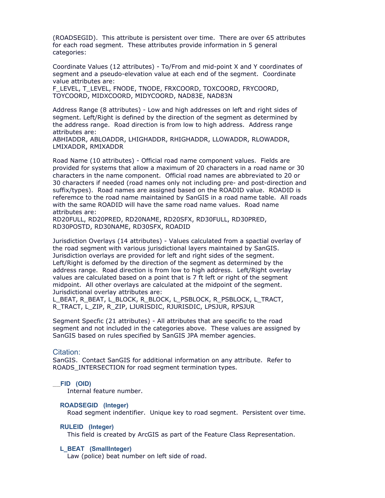(ROADSEGID). This attribute is persistent over time. There are over 65 attributes for each road segment. These attributes provide information in 5 general categories:

Coordinate Values (12 attributes) - To/From and mid-point X and Y coordinates of segment and a pseudo-elevation value at each end of the segment. Coordinate value attributes are:

F\_LEVEL, T\_LEVEL, FNODE, TNODE, FRXCOORD, TOXCOORD, FRYCOORD, TOYCOORD, MIDXCOORD, MIDYCOORD, NAD83E, NAD83N

Address Range (8 attributes) - Low and high addresses on left and right sides of segment. Left/Right is defined by the direction of the segment as determined by the address range. Road direction is from low to high address. Address range attributes are:

ABHIADDR, ABLOADDR, LHIGHADDR, RHIGHADDR, LLOWADDR, RLOWADDR, LMIXADDR, RMIXADDR

Road Name (10 attributes) - Official road name component values. Fields are provided for systems that allow a maximum of 20 characters in a road name or 30 characters in the name component. Official road names are abbreviated to 20 or 30 characters if needed (road names only not including pre- and post-direction and suffix/types). Road names are assigned based on the ROADID value. ROADID is referemce to the road name maintained by SanGIS in a road name table. All roads with the same ROADID will have the same road name values. Road name attributes are:

RD20FULL, RD20PRED, RD20NAME, RD20SFX, RD30FULL, RD30PRED, RD30POSTD, RD30NAME, RD30SFX, ROADID

Jurisdiction Overlays (14 attributes) - Values calculated from a spactial overlay of the road segment with various jurisdictional layers maintained by SanGIS. Jurisdiction overlays are provided for left and right sides of the segment. Left/Right is defomed by the direction of the segment as determined by the address range. Road direction is from low to high address. Left/Right overlay values are calculated based on a point that is 7 ft left or right of the segment midpoint. All other overlays are calculated at the midpoint of the segment. Jurisdictional overlay attributes are:

L\_BEAT, R\_BEAT, L\_BLOCK, R\_BLOCK, L\_PSBLOCK, R\_PSBLOCK, L\_TRACT, R\_TRACT, L\_ZIP, R\_ZIP, LJURISDIC, RJURISDIC, LPSJUR, RPSJUR

Segment Specfic (21 attributes) - All attributes that are specific to the road segment and not included in the categories above. These values are assigned by SanGIS based on rules specified by SanGIS JPA member agencies.

#### Citation:

SanGIS. Contact SanGIS for additional information on any attribute. Refer to ROADS\_INTERSECTION for road segment termination types.

#### \_\_**FID (OID)**

Internal feature number.

#### **ROADSEGID (Integer)**

Road segment indentifier. Unique key to road segment. Persistent over time.

#### **RULEID (Integer)**

This field is created by ArcGIS as part of the Feature Class Representation.

#### **L\_BEAT (SmallInteger)**

Law (police) beat number on left side of road.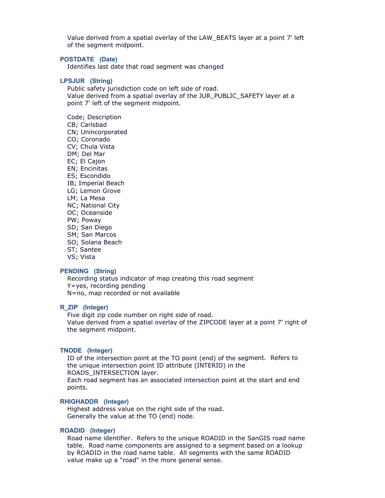Value derived from a spatial overlay of the LAW\_BEATS layer at a point 7' left of the segment midpoint.

#### **POSTDATE (Date)**

Identifies last date that road segment was changed

#### **LPSJUR (String)**

Public safety jurisdiction code on left side of road. Value derived from a spatial overlay of the JUR\_PUBLIC\_SAFETY layer at a point 7' left of the segment midpoint.

Code; Description CB; Carlsbad CN; Unincorporated CO; Coronado CV; Chula Vista DM; Del Mar EC; El Cajon EN; Encinitas ES; Escondido IB; Imperial Beach LG; Lemon Grove LM; La Mesa NC; National City OC; Oceanside PW; Poway SD; San Diego SM; San Marcos SO; Solana Beach ST; Santee VS; Vista

#### **PENDING (String)**

Recording status indicator of map creating this road segment Y=yes, recording pending N=no, map recorded or not available

#### **R\_ZIP (Integer)**

Five digit zip code number on right side of road. Value derived from a spatial overlay of the ZIPCODE layer at a point 7' right of the segment midpoint.

#### **TNODE (Integer)**

ID of the intersection point at the TO point (end) of the segment. Refers to the unique intersection point ID attribute (INTERID) in the ROADS\_INTERSECTION layer. Each road segment has an associated intersection point at the start and end points.

#### **RHIGHADDR (Integer)**

Highest address value on the right side of the road. Generally the value at the TO (end) node.

#### **ROADID (Integer)**

Road name identifier. Refers to the unique ROADID in the SanGIS road name table. Road name components are assigned to a segment based on a lookup by ROADID in the road name table. All segments with the same ROADID value make up a "road" in the more general sense.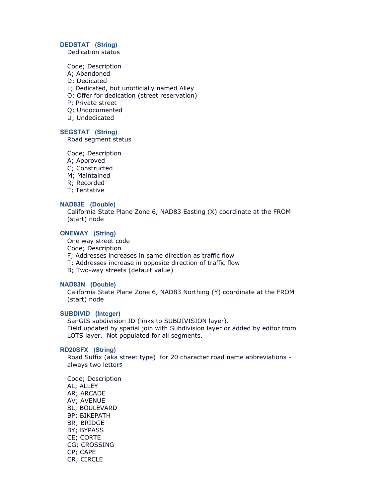#### **DEDSTAT (String)**

Dedication status

Code; Description

- A; Abandoned
- D; Dedicated

L; Dedicated, but unofficially named Alley

- O; Offer for dedication (street reservation)
- P; Private street
- Q; Undocumented
- U; Undedicated

#### **SEGSTAT (String)**

Road segment status

Code; Description

- A; Approved
- C; Constructed
- M; Maintained
- R; Recorded
- T; Tentative

#### **NAD83E (Double)**

California State Plane Zone 6, NAD83 Easting (X) coordinate at the FROM (start) node

#### **ONEWAY (String)**

One way street code

Code; Description

F; Addresses increases in same direction as traffic flow

- T; Addresses increase in opposite direction of traffic flow
- B; Two-way streets (default value)

#### **NAD83N (Double)**

California State Plane Zone 6, NAD83 Northing (Y) coordinate at the FROM (start) node

#### **SUBDIVID (Integer)**

SanGIS subdivision ID (links to SUBDIVISION layer). Field updated by spatial join with Subdivision layer or added by editor from LOTS layer. Not populated for all segments.

#### **RD20SFX (String)**

Road Suffix (aka street type) for 20 character road name abbreviations always two letters

Code; Description AL; ALLEY AR; ARCADE AV; AVENUE BL; BOULEVARD BP; BIKEPATH BR; BRIDGE BY; BYPASS CE; CORTE CG; CROSSING CP; CAPE CR; CIRCLE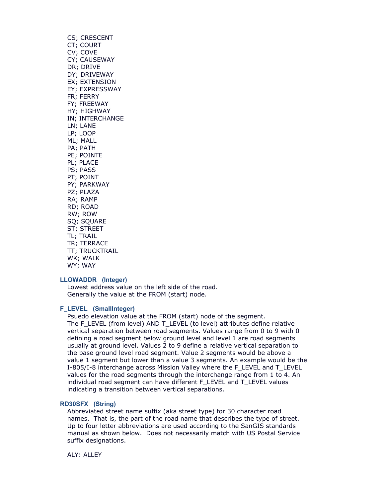CS; CRESCENT CT; COURT CV; COVE CY; CAUSEWAY DR; DRIVE DY; DRIVEWAY EX; EXTENSION EY; EXPRESSWAY FR; FERRY FY; FREEWAY HY; HIGHWAY IN; INTERCHANGE LN; LANE LP; LOOP ML; MALL PA; PATH PE; POINTE PL; PLACE PS; PASS PT; POINT PY; PARKWAY PZ; PLAZA RA; RAMP RD; ROAD RW; ROW SQ; SQUARE ST; STREET TL; TRAIL TR; TERRACE TT; TRUCKTRAIL WK; WALK WY; WAY

#### **LLOWADDR (Integer)**

Lowest address value on the left side of the road. Generally the value at the FROM (start) node.

#### **F\_LEVEL (SmallInteger)**

Psuedo elevation value at the FROM (start) node of the segment. The F\_LEVEL (from level) AND T\_LEVEL (to level) attributes define relative vertical separation between road segments. Values range from 0 to 9 with 0 defining a road segment below ground level and level 1 are road segments usually at ground level. Values 2 to 9 define a relative vertical separation to the base ground level road segment. Value 2 segments would be above a value 1 segment but lower than a value 3 segments. An example would be the I-805/I-8 interchange across Mission Valley where the F\_LEVEL and T\_LEVEL values for the road segments through the interchange range from 1 to 4. An individual road segment can have different F\_LEVEL and T\_LEVEL values indicating a transition between vertical separations.

#### **RD30SFX (String)**

Abbreviated street name suffix (aka street type) for 30 character road names. That is, the part of the road name that describes the type of street. Up to four letter abbreviations are used according to the SanGIS standards manual as shown below. Does not necessarily match with US Postal Service suffix designations.

ALY: ALLEY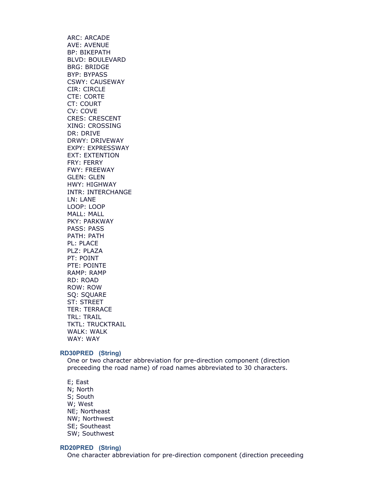ARC: ARCADE AVE: AVENUE BP: BIKEPATH BLVD: BOULEVARD BRG: BRIDGE BYP: BYPASS CSWY: CAUSEWAY CIR: CIRCLE CTE: CORTE CT: COURT CV: COVE CRES: CRESCENT XING: CROSSING DR: DRIVE DRWY: DRIVEWAY EXPY: EXPRESSWAY EXT: EXTENTION FRY: FERRY FWY: FREEWAY GLEN: GLEN HWY: HIGHWAY INTR: INTERCHANGE LN: LANE LOOP: LOOP MALL: MALL PKY: PARKWAY PASS: PASS PATH: PATH PL: PLACE PLZ: PLAZA PT: POINT PTE: POINTE RAMP: RAMP RD: ROAD ROW: ROW SQ: SQUARE ST: STREET TER: TERRACE TRL: TRAIL TKTL: TRUCKTRAIL WALK: WALK WAY: WAY

#### **RD30PRED (String)**

One or two character abbreviation for pre-direction component (direction preceeding the road name) of road names abbreviated to 30 characters.

E; East N; North S; South W; West NE; Northeast NW; Northwest SE; Southeast SW; Southwest

#### **RD20PRED (String)**

One character abbreviation for pre-direction component (direction preceeding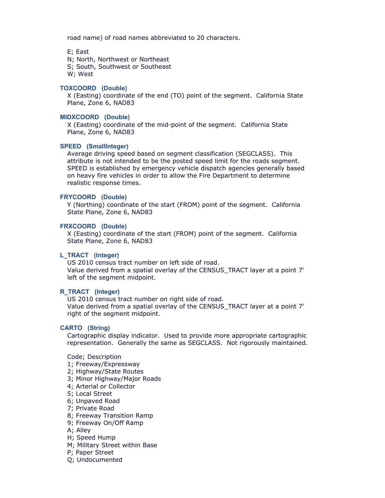road name) of road names abbreviated to 20 characters.

E; East N; North, Northwest or Northeast

S; South, Southwest or Southeast

W; West

#### **TOXCOORD (Double)**

X (Easting) coordinate of the end (TO) point of the segment. California State Plane, Zone 6, NAD83

#### **MIDXCOORD (Double)**

X (Easting) coordinate of the mid-point of the segment. California State Plane, Zone 6, NAD83

#### **SPEED (SmallInteger)**

Average driving speed based on segment classification (SEGCLASS). This attribute is not intended to be the posted speed limit for the roads segment. SPEED is established by emergency vehicle dispatch agencies generally based on heavy fire vehicles in order to allow the Fire Department to determine realistic response times.

#### **FRYCOORD (Double)**

Y (Northing) coordinate of the start (FROM) point of the segment. California State Plane, Zone 6, NAD83

#### **FRXCOORD (Double)**

X (Easting) coordinate of the start (FROM) point of the segment. California State Plane, Zone 6, NAD83

#### **L\_TRACT (Integer)**

US 2010 census tract number on left side of road. Value derived from a spatial overlay of the CENSUS\_TRACT layer at a point 7' left of the segment midpoint.

#### **R\_TRACT (Integer)**

US 2010 census tract number on right side of road. Value derived from a spatial overlay of the CENSUS\_TRACT layer at a point 7' right of the segment midpoint.

#### **CARTO (String)**

Cartographic display indicator. Used to provide more appropriate cartographic representation. Generally the same as SEGCLASS. Not rigorously maintained.

Code; Description

- 1; Freeway/Expressway
- 2; Highway/State Routes
- 3; Minor Highway/Major Roads
- 4; Arterial or Collector
- 5; Local Street
- 6; Unpaved Road
- 7; Private Road
- 8; Freeway Transition Ramp
- 9; Freeway On/Off Ramp
- A; Alley
- H; Speed Hump
- M; Military Street within Base
- P; Paper Street
- Q; Undocumented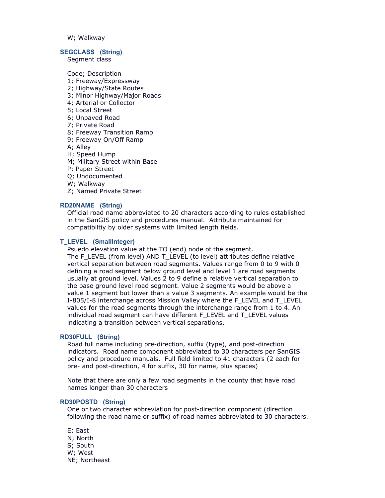W; Walkway

#### **SEGCLASS (String)**

Segment class

Code; Description

- 1; Freeway/Expressway
- 2; Highway/State Routes
- 3; Minor Highway/Major Roads
- 4; Arterial or Collector
- 5; Local Street
- 6; Unpaved Road
- 7; Private Road
- 8; Freeway Transition Ramp
- 9; Freeway On/Off Ramp
- A; Alley
- H; Speed Hump
- M; Military Street within Base
- P; Paper Street
- Q; Undocumented
- W; Walkway
- Z; Named Private Street

#### **RD20NAME (String)**

Official road name abbreviated to 20 characters according to rules established in the SanGIS policy and procedures manual. Attribute maintained for compatibiltiy by older systems with limited length fields.

#### **T\_LEVEL (SmallInteger)**

Psuedo elevation value at the TO (end) node of the segment. The F\_LEVEL (from level) AND T\_LEVEL (to level) attributes define relative vertical separation between road segments. Values range from 0 to 9 with 0 defining a road segment below ground level and level 1 are road segments usually at ground level. Values 2 to 9 define a relative vertical separation to the base ground level road segment. Value 2 segments would be above a value 1 segment but lower than a value 3 segments. An example would be the I-805/I-8 interchange across Mission Valley where the F\_LEVEL and T\_LEVEL values for the road segments through the interchange range from 1 to 4. An individual road segment can have different F\_LEVEL and T\_LEVEL values indicating a transition between vertical separations.

#### **RD30FULL (String)**

Road full name including pre-direction, suffix (type), and post-direction indicators. Road name component abbreviated to 30 characters per SanGIS policy and procedure manuals. Full field limited to 41 characters (2 each for pre- and post-direction, 4 for suffix, 30 for name, plus spaces)

Note that there are only a few road segments in the county that have road names longer than 30 characters

#### **RD30POSTD (String)**

One or two character abbreviation for post-direction component (direction following the road name or suffix) of road names abbreviated to 30 characters.

E; East N; North S; South W; West NE; Northeast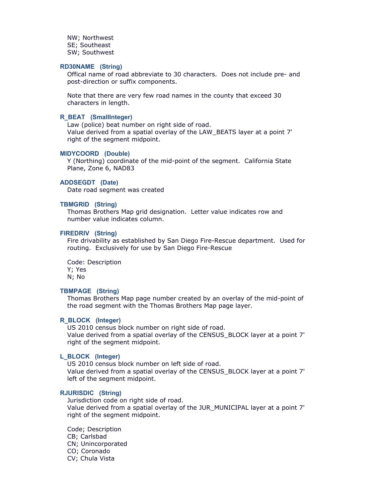NW; Northwest SE; Southeast SW; Southwest

#### **RD30NAME (String)**

Offical name of road abbreviate to 30 characters. Does not include pre- and post-direction or suffix components.

Note that there are very few road names in the county that exceed 30 characters in length.

#### **R\_BEAT (SmallInteger)**

Law (police) beat number on right side of road. Value derived from a spatial overlay of the LAW\_BEATS layer at a point 7' right of the segment midpoint.

#### **MIDYCOORD (Double)**

Y (Northing) coordinate of the mid-point of the segment. California State Plane, Zone 6, NAD83

#### **ADDSEGDT (Date)**

Date road segment was created

#### **TBMGRID (String)**

Thomas Brothers Map grid designation. Letter value indicates row and number value indicates column.

#### **FIREDRIV (String)**

Fire drivability as established by San Diego Fire-Rescue department. Used for routing. Exclusively for use by San Diego Fire-Rescue

Code: Description Y; Yes N; No

#### **TBMPAGE (String)**

Thomas Brothers Map page number created by an overlay of the mid-point of the road segment with the Thomas Brothers Map page layer.

#### **R\_BLOCK (Integer)**

US 2010 census block number on right side of road. Value derived from a spatial overlay of the CENSUS\_BLOCK layer at a point 7' right of the segment midpoint.

#### **L\_BLOCK (Integer)**

US 2010 census block number on left side of road. Value derived from a spatial overlay of the CENSUS\_BLOCK layer at a point 7' left of the segment midpoint.

#### **RJURISDIC (String)**

Jurisdiction code on right side of road. Value derived from a spatial overlay of the JUR\_MUNICIPAL layer at a point 7' right of the segment midpoint.

Code; Description CB; Carlsbad CN; Unincorporated CO; Coronado CV; Chula Vista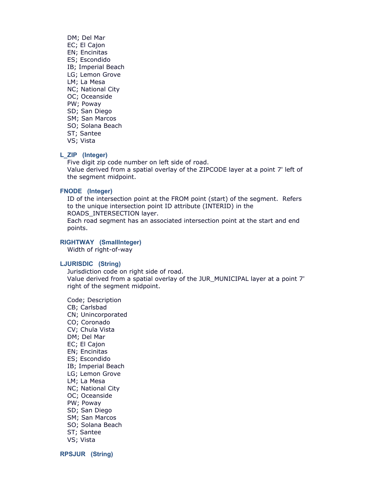DM; Del Mar EC; El Cajon EN; Encinitas ES; Escondido IB; Imperial Beach LG; Lemon Grove LM; La Mesa NC; National City OC; Oceanside PW; Poway SD; San Diego SM; San Marcos SO; Solana Beach ST; Santee VS; Vista

#### **L\_ZIP (Integer)**

Five digit zip code number on left side of road. Value derived from a spatial overlay of the ZIPCODE layer at a point 7' left of the segment midpoint.

#### **FNODE (Integer)**

ID of the intersection point at the FROM point (start) of the segment. Refers to the unique intersection point ID attribute (INTERID) in the ROADS\_INTERSECTION layer. Each road segment has an associated intersection point at the start and end points.

#### **RIGHTWAY (SmallInteger)**

Width of right-of-way

#### **LJURISDIC (String)**

Jurisdiction code on right side of road. Value derived from a spatial overlay of the JUR\_MUNICIPAL layer at a point 7' right of the segment midpoint.

Code; Description CB; Carlsbad CN; Unincorporated CO; Coronado CV; Chula Vista DM; Del Mar EC; El Cajon EN; Encinitas ES; Escondido IB; Imperial Beach LG; Lemon Grove LM; La Mesa NC; National City OC; Oceanside PW; Poway SD; San Diego SM; San Marcos SO; Solana Beach ST; Santee VS; Vista

**RPSJUR (String)**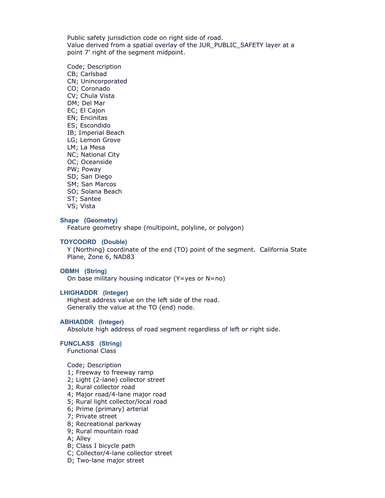Public safety jurisdiction code on right side of road. Value derived from a spatial overlay of the JUR\_PUBLIC\_SAFETY layer at a point 7' right of the segment midpoint.

Code; Description CB; Carlsbad CN; Unincorporated CO; Coronado CV; Chula Vista DM; Del Mar EC; El Cajon EN; Encinitas ES; Escondido IB; Imperial Beach LG; Lemon Grove LM; La Mesa NC; National City OC; Oceanside PW; Poway SD; San Diego SM; San Marcos SO; Solana Beach ST; Santee

VS; Vista

#### **Shape (Geometry)**

Feature geometry shape (multipoint, polyline, or polygon)

#### **TOYCOORD (Double)**

Y (Northing) coordinate of the end (TO) point of the segment. California State Plane, Zone 6, NAD83

#### **OBMH (String)**

On base military housing indicator (Y=yes or N=no)

#### **LHIGHADDR (Integer)**

Highest address value on the left side of the road. Generally the value at the TO (end) node.

#### **ABHIADDR (Integer)**

Absolute high address of road segment regardless of left or right side.

#### **FUNCLASS (String)**

Functional Class

Code; Description

- 1; Freeway to freeway ramp
- 2; Light (2-lane) collector street
- 3; Rural collector road
- 4; Major road/4-lane major road
- 5; Rural light collector/local road
- 6; Prime (primary) arterial
- 7; Private street
- 8; Recreational parkway
- 9; Rural mountain road
- A; Alley
- B; Class I bicycle path
- C; Collector/4-lane collector street
- D; Two-lane major street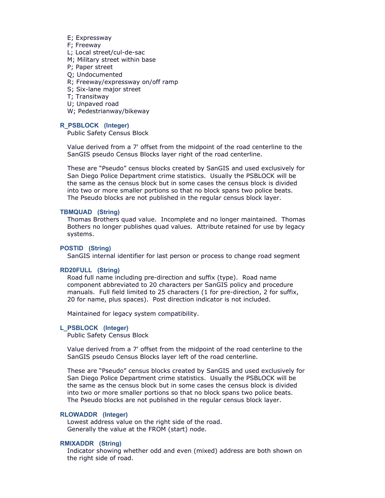- E; Expressway
- F; Freeway
- L; Local street/cul-de-sac
- M; Military street within base
- P; Paper street
- Q; Undocumented
- R; Freeway/expressway on/off ramp
- S; Six-lane major street
- T; Transitway
- U; Unpaved road
- W; Pedestrianway/bikeway

#### **R\_PSBLOCK (Integer)**

Public Safety Census Block

Value derived from a 7' offset from the midpoint of the road centerline to the SanGIS pseudo Census Blocks layer right of the road centerline.

These are "Pseudo" census blocks created by SanGIS and used exclusively for San Diego Police Department crime statistics. Usually the PSBLOCK will be the same as the census block but in some cases the census block is divided into two or more smaller portions so that no block spans two police beats. The Pseudo blocks are not published in the regular census block layer.

#### **TBMQUAD (String)**

Thomas Brothers quad value. Incomplete and no longer maintained. Thomas Bothers no longer publishes quad values. Attribute retained for use by legacy systems.

#### **POSTID (String)**

SanGIS internal identifier for last person or process to change road segment

#### **RD20FULL (String)**

Road full name including pre-direction and suffix (type). Road name component abbreviated to 20 characters per SanGIS policy and procedure manuals. Full field limited to 25 characters (1 for pre-direction, 2 for suffix, 20 for name, plus spaces). Post direction indicator is not included.

Maintained for legacy system compatibility.

#### **L\_PSBLOCK (Integer)**

Public Safety Census Block

Value derived from a 7' offset from the midpoint of the road centerline to the SanGIS pseudo Census Blocks layer left of the road centerline.

These are "Pseudo" census blocks created by SanGIS and used exclusively for San Diego Police Department crime statistics. Usually the PSBLOCK will be the same as the census block but in some cases the census block is divided into two or more smaller portions so that no block spans two police beats. The Pseudo blocks are not published in the regular census block layer.

#### **RLOWADDR (Integer)**

Lowest address value on the right side of the road. Generally the value at the FROM (start) node.

#### **RMIXADDR (String)**

Indicator showing whether odd and even (mixed) address are both shown on the right side of road.